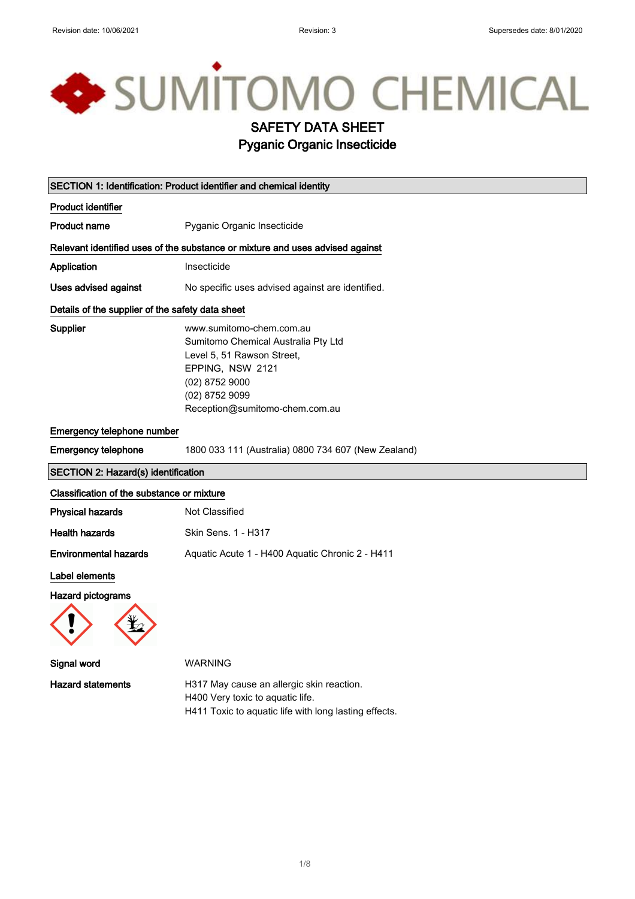# SUMITOMO CHEMICAL

## SAFETY DATA SHEET

## Pyganic Organic Insecticide

| SECTION 1: Identification: Product identifier and chemical identity |                                                                                                                                                                                         |  |
|---------------------------------------------------------------------|-----------------------------------------------------------------------------------------------------------------------------------------------------------------------------------------|--|
| <b>Product identifier</b>                                           |                                                                                                                                                                                         |  |
| <b>Product name</b>                                                 | Pyganic Organic Insecticide                                                                                                                                                             |  |
|                                                                     | Relevant identified uses of the substance or mixture and uses advised against                                                                                                           |  |
| Application                                                         | Insecticide                                                                                                                                                                             |  |
| Uses advised against                                                | No specific uses advised against are identified.                                                                                                                                        |  |
| Details of the supplier of the safety data sheet                    |                                                                                                                                                                                         |  |
| Supplier                                                            | www.sumitomo-chem.com.au<br>Sumitomo Chemical Australia Pty Ltd<br>Level 5, 51 Rawson Street,<br>EPPING, NSW 2121<br>(02) 8752 9000<br>(02) 8752 9099<br>Reception@sumitomo-chem.com.au |  |
| Emergency telephone number                                          |                                                                                                                                                                                         |  |
| <b>Emergency telephone</b>                                          | 1800 033 111 (Australia) 0800 734 607 (New Zealand)                                                                                                                                     |  |
| SECTION 2: Hazard(s) identification                                 |                                                                                                                                                                                         |  |
| Classification of the substance or mixture                          |                                                                                                                                                                                         |  |
| <b>Physical hazards</b>                                             | <b>Not Classified</b>                                                                                                                                                                   |  |
| <b>Health hazards</b>                                               | Skin Sens. 1 - H317                                                                                                                                                                     |  |
| <b>Environmental hazards</b>                                        | Aquatic Acute 1 - H400 Aquatic Chronic 2 - H411                                                                                                                                         |  |
| Label elements                                                      |                                                                                                                                                                                         |  |
| <b>Hazard pictograms</b>                                            |                                                                                                                                                                                         |  |
| Signal word                                                         | <b>WARNING</b>                                                                                                                                                                          |  |
| <b>Hazard statements</b>                                            | H317 May cause an allergic skin reaction.<br>H400 Very toxic to aquatic life.<br>H411 Toxic to aquatic life with long lasting effects.                                                  |  |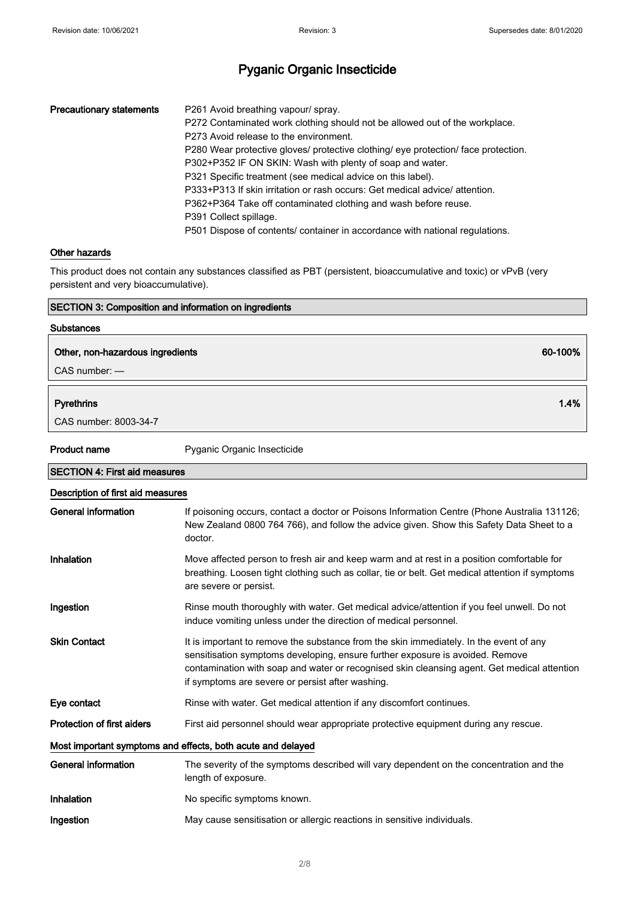| <b>Precautionary statements</b> | P261 Avoid breathing vapour/spray.<br>P272 Contaminated work clothing should not be allowed out of the workplace.<br>P273 Avoid release to the environment.<br>P280 Wear protective gloves/ protective clothing/ eye protection/ face protection.<br>P302+P352 IF ON SKIN: Wash with plenty of soap and water.<br>P321 Specific treatment (see medical advice on this label).<br>P333+P313 If skin irritation or rash occurs: Get medical advice/ attention.<br>P362+P364 Take off contaminated clothing and wash before reuse. |
|---------------------------------|---------------------------------------------------------------------------------------------------------------------------------------------------------------------------------------------------------------------------------------------------------------------------------------------------------------------------------------------------------------------------------------------------------------------------------------------------------------------------------------------------------------------------------|
|                                 | P391 Collect spillage.<br>P501 Dispose of contents/ container in accordance with national regulations.                                                                                                                                                                                                                                                                                                                                                                                                                          |

#### Other hazards

This product does not contain any substances classified as PBT (persistent, bioaccumulative and toxic) or vPvB (very persistent and very bioaccumulative).

#### SECTION 3: Composition and information on ingredients

#### Substances

### Other, non-hazardous ingredients 60-100%

CAS number: —

#### Pyrethrins 1.4%

CAS number: 8003-34-7

Product name Pyganic Organic Insecticide

| <b>SECTION 4: First aid measures</b>                        |                                                                                                                                                                                                                                                                                                                            |  |  |
|-------------------------------------------------------------|----------------------------------------------------------------------------------------------------------------------------------------------------------------------------------------------------------------------------------------------------------------------------------------------------------------------------|--|--|
|                                                             | Description of first aid measures                                                                                                                                                                                                                                                                                          |  |  |
| <b>General information</b>                                  | If poisoning occurs, contact a doctor or Poisons Information Centre (Phone Australia 131126;<br>New Zealand 0800 764 766), and follow the advice given. Show this Safety Data Sheet to a<br>doctor.                                                                                                                        |  |  |
| Inhalation                                                  | Move affected person to fresh air and keep warm and at rest in a position comfortable for<br>breathing. Loosen tight clothing such as collar, tie or belt. Get medical attention if symptoms<br>are severe or persist.                                                                                                     |  |  |
| Ingestion                                                   | Rinse mouth thoroughly with water. Get medical advice/attention if you feel unwell. Do not<br>induce vomiting unless under the direction of medical personnel.                                                                                                                                                             |  |  |
| <b>Skin Contact</b>                                         | It is important to remove the substance from the skin immediately. In the event of any<br>sensitisation symptoms developing, ensure further exposure is avoided. Remove<br>contamination with soap and water or recognised skin cleansing agent. Get medical attention<br>if symptoms are severe or persist after washing. |  |  |
| Eye contact                                                 | Rinse with water. Get medical attention if any discomfort continues.                                                                                                                                                                                                                                                       |  |  |
| <b>Protection of first aiders</b>                           | First aid personnel should wear appropriate protective equipment during any rescue.                                                                                                                                                                                                                                        |  |  |
| Most important symptoms and effects, both acute and delayed |                                                                                                                                                                                                                                                                                                                            |  |  |
| General information                                         | The severity of the symptoms described will vary dependent on the concentration and the<br>length of exposure.                                                                                                                                                                                                             |  |  |
| Inhalation                                                  | No specific symptoms known.                                                                                                                                                                                                                                                                                                |  |  |
| Ingestion                                                   | May cause sensitisation or allergic reactions in sensitive individuals.                                                                                                                                                                                                                                                    |  |  |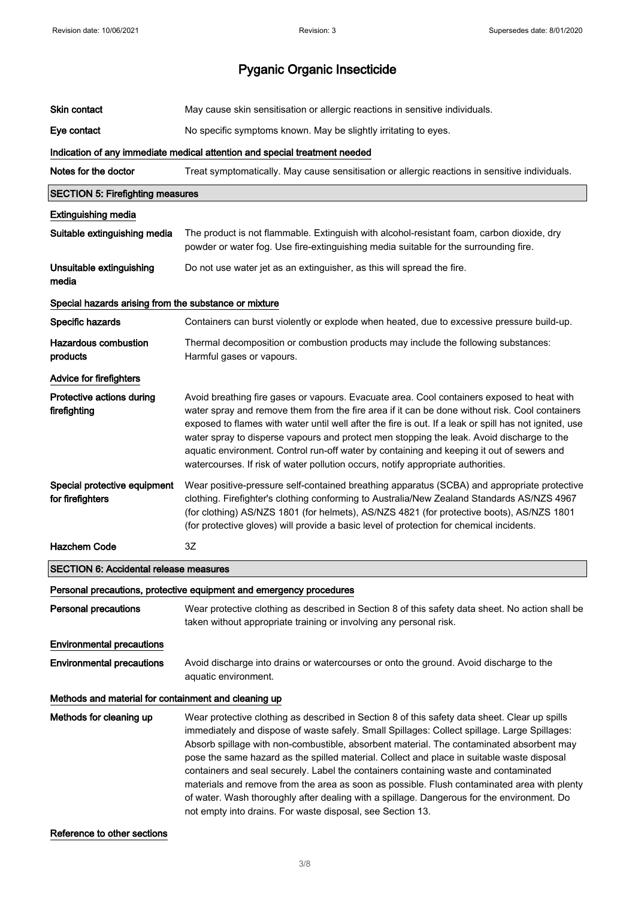| Skin contact                                          | May cause skin sensitisation or allergic reactions in sensitive individuals.                                                                                                                                                                                                                                                                                                                                                                                                                                                                                                                                                                                                                                                               |  |
|-------------------------------------------------------|--------------------------------------------------------------------------------------------------------------------------------------------------------------------------------------------------------------------------------------------------------------------------------------------------------------------------------------------------------------------------------------------------------------------------------------------------------------------------------------------------------------------------------------------------------------------------------------------------------------------------------------------------------------------------------------------------------------------------------------------|--|
| Eye contact                                           | No specific symptoms known. May be slightly irritating to eyes.                                                                                                                                                                                                                                                                                                                                                                                                                                                                                                                                                                                                                                                                            |  |
|                                                       | Indication of any immediate medical attention and special treatment needed                                                                                                                                                                                                                                                                                                                                                                                                                                                                                                                                                                                                                                                                 |  |
| Notes for the doctor                                  | Treat symptomatically. May cause sensitisation or allergic reactions in sensitive individuals.                                                                                                                                                                                                                                                                                                                                                                                                                                                                                                                                                                                                                                             |  |
| <b>SECTION 5: Firefighting measures</b>               |                                                                                                                                                                                                                                                                                                                                                                                                                                                                                                                                                                                                                                                                                                                                            |  |
| <b>Extinguishing media</b>                            |                                                                                                                                                                                                                                                                                                                                                                                                                                                                                                                                                                                                                                                                                                                                            |  |
| Suitable extinguishing media                          | The product is not flammable. Extinguish with alcohol-resistant foam, carbon dioxide, dry<br>powder or water fog. Use fire-extinguishing media suitable for the surrounding fire.                                                                                                                                                                                                                                                                                                                                                                                                                                                                                                                                                          |  |
| Unsuitable extinguishing<br>media                     | Do not use water jet as an extinguisher, as this will spread the fire.                                                                                                                                                                                                                                                                                                                                                                                                                                                                                                                                                                                                                                                                     |  |
| Special hazards arising from the substance or mixture |                                                                                                                                                                                                                                                                                                                                                                                                                                                                                                                                                                                                                                                                                                                                            |  |
| Specific hazards                                      | Containers can burst violently or explode when heated, due to excessive pressure build-up.                                                                                                                                                                                                                                                                                                                                                                                                                                                                                                                                                                                                                                                 |  |
| <b>Hazardous combustion</b><br>products               | Thermal decomposition or combustion products may include the following substances:<br>Harmful gases or vapours.                                                                                                                                                                                                                                                                                                                                                                                                                                                                                                                                                                                                                            |  |
| Advice for firefighters                               |                                                                                                                                                                                                                                                                                                                                                                                                                                                                                                                                                                                                                                                                                                                                            |  |
| Protective actions during<br>firefighting             | Avoid breathing fire gases or vapours. Evacuate area. Cool containers exposed to heat with<br>water spray and remove them from the fire area if it can be done without risk. Cool containers<br>exposed to flames with water until well after the fire is out. If a leak or spill has not ignited, use<br>water spray to disperse vapours and protect men stopping the leak. Avoid discharge to the<br>aquatic environment. Control run-off water by containing and keeping it out of sewers and<br>watercourses. If risk of water pollution occurs, notify appropriate authorities.                                                                                                                                                       |  |
| Special protective equipment<br>for firefighters      | Wear positive-pressure self-contained breathing apparatus (SCBA) and appropriate protective<br>clothing. Firefighter's clothing conforming to Australia/New Zealand Standards AS/NZS 4967<br>(for clothing) AS/NZS 1801 (for helmets), AS/NZS 4821 (for protective boots), AS/NZS 1801<br>(for protective gloves) will provide a basic level of protection for chemical incidents.                                                                                                                                                                                                                                                                                                                                                         |  |
| <b>Hazchem Code</b>                                   | 3Z                                                                                                                                                                                                                                                                                                                                                                                                                                                                                                                                                                                                                                                                                                                                         |  |
| <b>SECTION 6: Accidental release measures</b>         |                                                                                                                                                                                                                                                                                                                                                                                                                                                                                                                                                                                                                                                                                                                                            |  |
|                                                       | Personal precautions, protective equipment and emergency procedures                                                                                                                                                                                                                                                                                                                                                                                                                                                                                                                                                                                                                                                                        |  |
| <b>Personal precautions</b>                           | Wear protective clothing as described in Section 8 of this safety data sheet. No action shall be<br>taken without appropriate training or involving any personal risk.                                                                                                                                                                                                                                                                                                                                                                                                                                                                                                                                                                     |  |
| <b>Environmental precautions</b>                      |                                                                                                                                                                                                                                                                                                                                                                                                                                                                                                                                                                                                                                                                                                                                            |  |
| <b>Environmental precautions</b>                      | Avoid discharge into drains or watercourses or onto the ground. Avoid discharge to the<br>aquatic environment.                                                                                                                                                                                                                                                                                                                                                                                                                                                                                                                                                                                                                             |  |
| Methods and material for containment and cleaning up  |                                                                                                                                                                                                                                                                                                                                                                                                                                                                                                                                                                                                                                                                                                                                            |  |
| Methods for cleaning up                               | Wear protective clothing as described in Section 8 of this safety data sheet. Clear up spills<br>immediately and dispose of waste safely. Small Spillages: Collect spillage. Large Spillages:<br>Absorb spillage with non-combustible, absorbent material. The contaminated absorbent may<br>pose the same hazard as the spilled material. Collect and place in suitable waste disposal<br>containers and seal securely. Label the containers containing waste and contaminated<br>materials and remove from the area as soon as possible. Flush contaminated area with plenty<br>of water. Wash thoroughly after dealing with a spillage. Dangerous for the environment. Do<br>not empty into drains. For waste disposal, see Section 13. |  |

Reference to other sections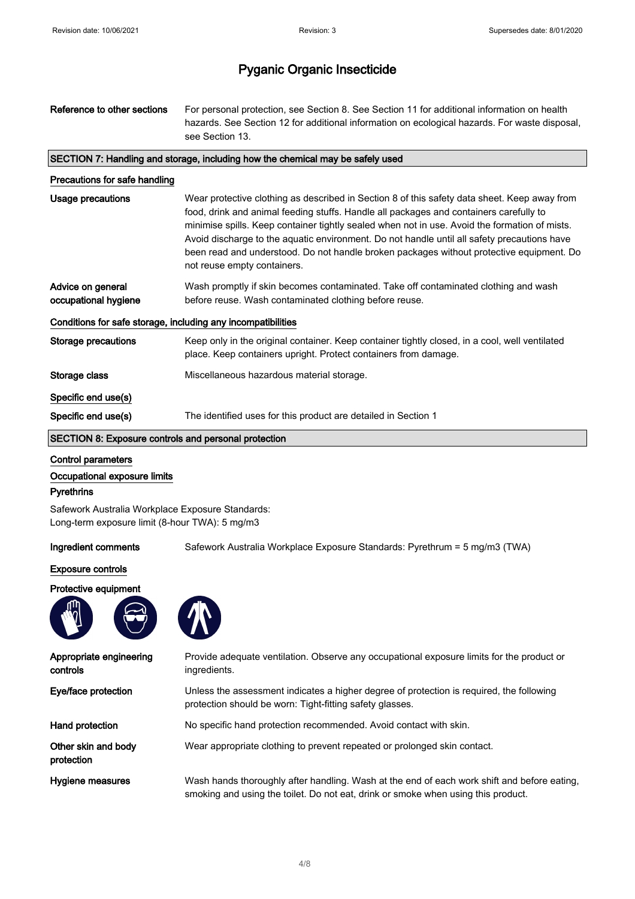| Reference to other sections                                  | For personal protection, see Section 8. See Section 11 for additional information on health<br>hazards. See Section 12 for additional information on ecological hazards. For waste disposal,<br>see Section 13.                                                                                                                                                                                                                                                                                                   |
|--------------------------------------------------------------|-------------------------------------------------------------------------------------------------------------------------------------------------------------------------------------------------------------------------------------------------------------------------------------------------------------------------------------------------------------------------------------------------------------------------------------------------------------------------------------------------------------------|
|                                                              | SECTION 7: Handling and storage, including how the chemical may be safely used                                                                                                                                                                                                                                                                                                                                                                                                                                    |
| Precautions for safe handling                                |                                                                                                                                                                                                                                                                                                                                                                                                                                                                                                                   |
| Usage precautions                                            | Wear protective clothing as described in Section 8 of this safety data sheet. Keep away from<br>food, drink and animal feeding stuffs. Handle all packages and containers carefully to<br>minimise spills. Keep container tightly sealed when not in use. Avoid the formation of mists.<br>Avoid discharge to the aquatic environment. Do not handle until all safety precautions have<br>been read and understood. Do not handle broken packages without protective equipment. Do<br>not reuse empty containers. |
| Advice on general<br>occupational hygiene                    | Wash promptly if skin becomes contaminated. Take off contaminated clothing and wash<br>before reuse. Wash contaminated clothing before reuse.                                                                                                                                                                                                                                                                                                                                                                     |
| Conditions for safe storage, including any incompatibilities |                                                                                                                                                                                                                                                                                                                                                                                                                                                                                                                   |
| <b>Storage precautions</b>                                   | Keep only in the original container. Keep container tightly closed, in a cool, well ventilated<br>place. Keep containers upright. Protect containers from damage.                                                                                                                                                                                                                                                                                                                                                 |
| Storage class                                                | Miscellaneous hazardous material storage.                                                                                                                                                                                                                                                                                                                                                                                                                                                                         |
| Specific end use(s)                                          |                                                                                                                                                                                                                                                                                                                                                                                                                                                                                                                   |
| Specific end use(s)                                          | The identified uses for this product are detailed in Section 1                                                                                                                                                                                                                                                                                                                                                                                                                                                    |
| SECTION 8: Exposure controls and personal protection         |                                                                                                                                                                                                                                                                                                                                                                                                                                                                                                                   |

#### Control parameters

#### Occupational exposure limits

#### **Pyrethrins**

Safework Australia Workplace Exposure Standards: Long-term exposure limit (8-hour TWA): 5 mg/m3

Ingredient comments Safework Australia Workplace Exposure Standards: Pyrethrum = 5 mg/m3 (TWA)

#### Exposure controls

#### Protective equipment



Appropriate engineering

Other skin and body

controls

protection

Provide adequate ventilation. Observe any occupational exposure limits for the product or ingredients. Eye/face protection Unless the assessment indicates a higher degree of protection is required, the following protection should be worn: Tight-fitting safety glasses.

- Hand protection No specific hand protection recommended. Avoid contact with skin.
	- Wear appropriate clothing to prevent repeated or prolonged skin contact.

Hygiene measures **Wash hands thoroughly after handling.** Wash at the end of each work shift and before eating, smoking and using the toilet. Do not eat, drink or smoke when using this product.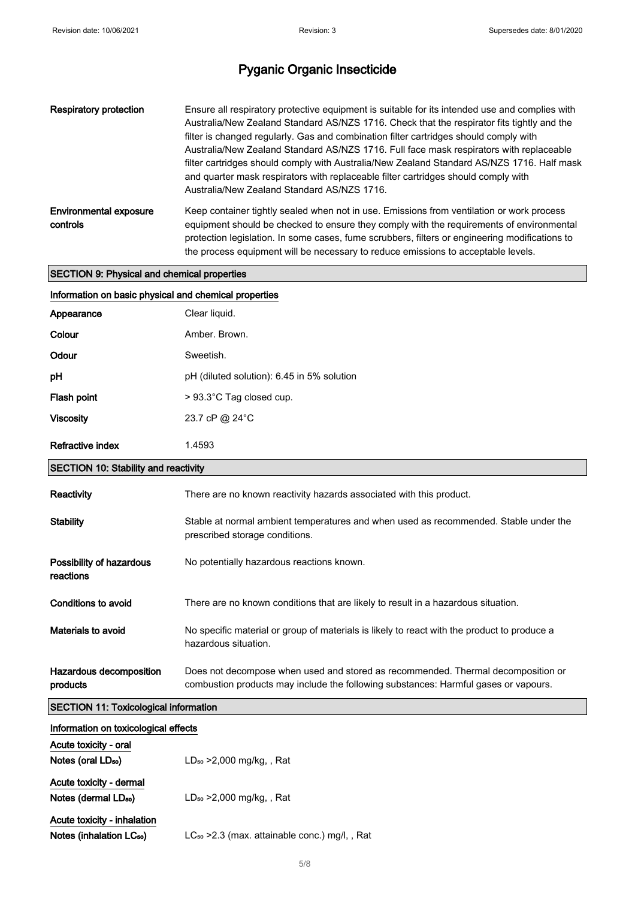| Respiratory protection                    | Ensure all respiratory protective equipment is suitable for its intended use and complies with<br>Australia/New Zealand Standard AS/NZS 1716. Check that the respirator fits tightly and the<br>filter is changed regularly. Gas and combination filter cartridges should comply with<br>Australia/New Zealand Standard AS/NZS 1716. Full face mask respirators with replaceable<br>filter cartridges should comply with Australia/New Zealand Standard AS/NZS 1716. Half mask<br>and quarter mask respirators with replaceable filter cartridges should comply with<br>Australia/New Zealand Standard AS/NZS 1716. |
|-------------------------------------------|---------------------------------------------------------------------------------------------------------------------------------------------------------------------------------------------------------------------------------------------------------------------------------------------------------------------------------------------------------------------------------------------------------------------------------------------------------------------------------------------------------------------------------------------------------------------------------------------------------------------|
| <b>Environmental exposure</b><br>controls | Keep container tightly sealed when not in use. Emissions from ventilation or work process<br>equipment should be checked to ensure they comply with the requirements of environmental<br>protection legislation. In some cases, fume scrubbers, filters or engineering modifications to<br>the process equipment will be necessary to reduce emissions to acceptable levels.                                                                                                                                                                                                                                        |

#### SECTION 9: Physical and chemical properties

| Information on basic physical and chemical properties |                                                                                                                                                                         |  |
|-------------------------------------------------------|-------------------------------------------------------------------------------------------------------------------------------------------------------------------------|--|
| Appearance                                            | Clear liquid.                                                                                                                                                           |  |
| Colour                                                | Amber, Brown.                                                                                                                                                           |  |
| Odour                                                 | Sweetish.                                                                                                                                                               |  |
| рH                                                    | pH (diluted solution): 6.45 in 5% solution                                                                                                                              |  |
| Flash point                                           | > 93.3°C Tag closed cup.                                                                                                                                                |  |
| <b>Viscosity</b>                                      | 23.7 cP @ 24°C                                                                                                                                                          |  |
| <b>Refractive index</b>                               | 1.4593                                                                                                                                                                  |  |
| <b>SECTION 10: Stability and reactivity</b>           |                                                                                                                                                                         |  |
| Reactivity                                            | There are no known reactivity hazards associated with this product.                                                                                                     |  |
| <b>Stability</b>                                      | Stable at normal ambient temperatures and when used as recommended. Stable under the<br>prescribed storage conditions.                                                  |  |
| Possibility of hazardous<br>reactions                 | No potentially hazardous reactions known.                                                                                                                               |  |
| Conditions to avoid                                   | There are no known conditions that are likely to result in a hazardous situation.                                                                                       |  |
| Materials to avoid                                    | No specific material or group of materials is likely to react with the product to produce a<br>hazardous situation.                                                     |  |
| Hazardous decomposition<br>products                   | Does not decompose when used and stored as recommended. Thermal decomposition or<br>combustion products may include the following substances: Harmful gases or vapours. |  |
| <b>SECTION 11: Toxicological information</b>          |                                                                                                                                                                         |  |
| Information on toxicological effects                  |                                                                                                                                                                         |  |
| Acute toxicity - oral                                 |                                                                                                                                                                         |  |
| Notes (oral LD <sub>50</sub> )                        | $LD_{50} > 2,000$ mg/kg, , Rat                                                                                                                                          |  |

| Acute toxicity - dermal          |                                |
|----------------------------------|--------------------------------|
| Notes (dermal LD <sub>50</sub> ) | $LD_{50} > 2,000$ mg/kg, , Rat |

Acute toxicity - inhalation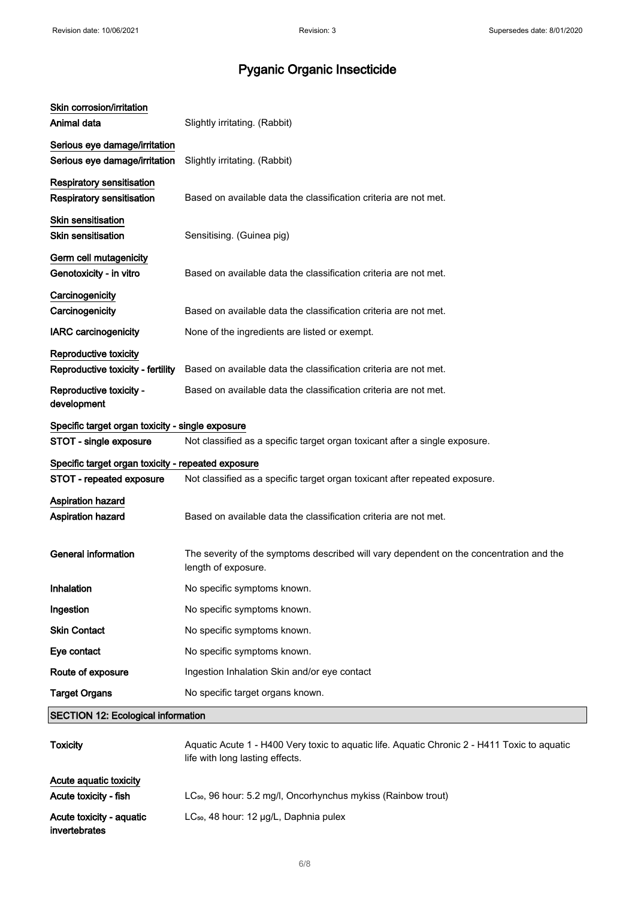| Skin corrosion/irritation<br>Animal data                             | Slightly irritating. (Rabbit)                                                                                                   |
|----------------------------------------------------------------------|---------------------------------------------------------------------------------------------------------------------------------|
| Serious eye damage/irritation                                        |                                                                                                                                 |
| Serious eye damage/irritation                                        | Slightly irritating. (Rabbit)                                                                                                   |
| <b>Respiratory sensitisation</b><br><b>Respiratory sensitisation</b> | Based on available data the classification criteria are not met.                                                                |
| <b>Skin sensitisation</b><br><b>Skin sensitisation</b>               | Sensitising. (Guinea pig)                                                                                                       |
| Germ cell mutagenicity<br>Genotoxicity - in vitro                    | Based on available data the classification criteria are not met.                                                                |
| Carcinogenicity<br>Carcinogenicity                                   | Based on available data the classification criteria are not met.                                                                |
| <b>IARC</b> carcinogenicity                                          | None of the ingredients are listed or exempt.                                                                                   |
| Reproductive toxicity<br>Reproductive toxicity - fertility           | Based on available data the classification criteria are not met.                                                                |
| Reproductive toxicity -<br>development                               | Based on available data the classification criteria are not met.                                                                |
| Specific target organ toxicity - single exposure                     |                                                                                                                                 |
| STOT - single exposure                                               | Not classified as a specific target organ toxicant after a single exposure.                                                     |
| Specific target organ toxicity - repeated exposure                   |                                                                                                                                 |
| STOT - repeated exposure                                             | Not classified as a specific target organ toxicant after repeated exposure.                                                     |
| Aspiration hazard<br>Aspiration hazard                               | Based on available data the classification criteria are not met.                                                                |
| <b>General information</b>                                           | The severity of the symptoms described will vary dependent on the concentration and the<br>length of exposure.                  |
| Inhalation                                                           | No specific symptoms known.                                                                                                     |
| Ingestion                                                            | No specific symptoms known.                                                                                                     |
| <b>Skin Contact</b>                                                  | No specific symptoms known.                                                                                                     |
| Eye contact                                                          | No specific symptoms known.                                                                                                     |
| Route of exposure                                                    | Ingestion Inhalation Skin and/or eye contact                                                                                    |
| <b>Target Organs</b>                                                 | No specific target organs known.                                                                                                |
| <b>SECTION 12: Ecological information</b>                            |                                                                                                                                 |
| <b>Toxicity</b>                                                      | Aquatic Acute 1 - H400 Very toxic to aquatic life. Aquatic Chronic 2 - H411 Toxic to aquatic<br>life with long lasting effects. |

| Acute aguatic toxicity   |                                                                           |
|--------------------------|---------------------------------------------------------------------------|
| Acute toxicity - fish    | LC <sub>50</sub> , 96 hour: 5.2 mg/l, Oncorhynchus mykiss (Rainbow trout) |
| Acute toxicity - aquatic | $LC_{50}$ , 48 hour: 12 $\mu$ g/L, Daphnia pulex                          |
| invertebrates            |                                                                           |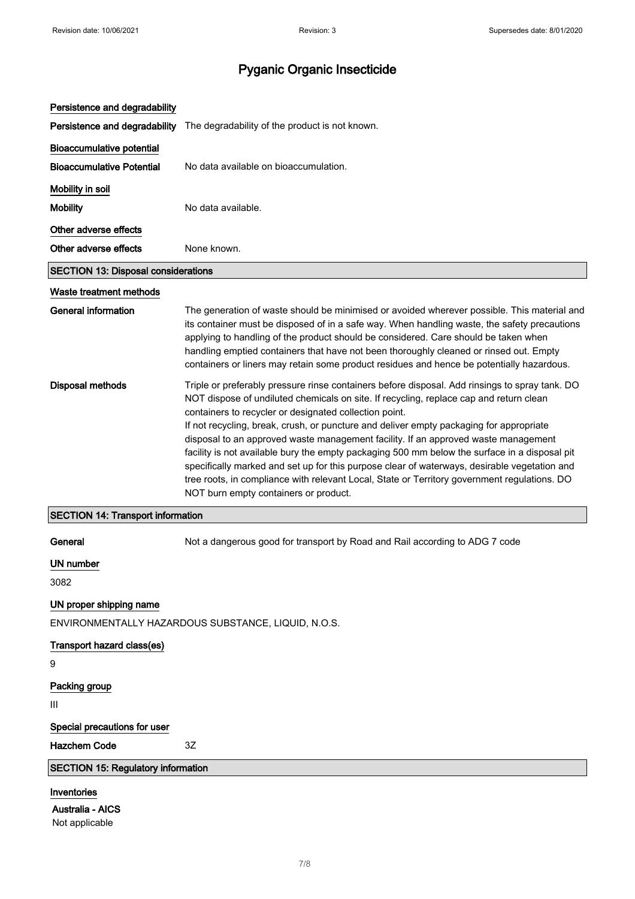| Persistence and degradability              |                                                                                                                                                                                                                                                                                                                                                                                                                                                                                                                                                                                                                                                                                                                                                                               |
|--------------------------------------------|-------------------------------------------------------------------------------------------------------------------------------------------------------------------------------------------------------------------------------------------------------------------------------------------------------------------------------------------------------------------------------------------------------------------------------------------------------------------------------------------------------------------------------------------------------------------------------------------------------------------------------------------------------------------------------------------------------------------------------------------------------------------------------|
| Persistence and degradability              | The degradability of the product is not known.                                                                                                                                                                                                                                                                                                                                                                                                                                                                                                                                                                                                                                                                                                                                |
| <b>Bioaccumulative potential</b>           |                                                                                                                                                                                                                                                                                                                                                                                                                                                                                                                                                                                                                                                                                                                                                                               |
| <b>Bioaccumulative Potential</b>           | No data available on bioaccumulation.                                                                                                                                                                                                                                                                                                                                                                                                                                                                                                                                                                                                                                                                                                                                         |
| Mobility in soil                           |                                                                                                                                                                                                                                                                                                                                                                                                                                                                                                                                                                                                                                                                                                                                                                               |
| <b>Mobility</b>                            | No data available.                                                                                                                                                                                                                                                                                                                                                                                                                                                                                                                                                                                                                                                                                                                                                            |
| Other adverse effects                      |                                                                                                                                                                                                                                                                                                                                                                                                                                                                                                                                                                                                                                                                                                                                                                               |
| Other adverse effects                      | None known.                                                                                                                                                                                                                                                                                                                                                                                                                                                                                                                                                                                                                                                                                                                                                                   |
| <b>SECTION 13: Disposal considerations</b> |                                                                                                                                                                                                                                                                                                                                                                                                                                                                                                                                                                                                                                                                                                                                                                               |
| Waste treatment methods                    |                                                                                                                                                                                                                                                                                                                                                                                                                                                                                                                                                                                                                                                                                                                                                                               |
| <b>General information</b>                 | The generation of waste should be minimised or avoided wherever possible. This material and<br>its container must be disposed of in a safe way. When handling waste, the safety precautions<br>applying to handling of the product should be considered. Care should be taken when<br>handling emptied containers that have not been thoroughly cleaned or rinsed out. Empty<br>containers or liners may retain some product residues and hence be potentially hazardous.                                                                                                                                                                                                                                                                                                     |
| <b>Disposal methods</b>                    | Triple or preferably pressure rinse containers before disposal. Add rinsings to spray tank. DO<br>NOT dispose of undiluted chemicals on site. If recycling, replace cap and return clean<br>containers to recycler or designated collection point.<br>If not recycling, break, crush, or puncture and deliver empty packaging for appropriate<br>disposal to an approved waste management facility. If an approved waste management<br>facility is not available bury the empty packaging 500 mm below the surface in a disposal pit<br>specifically marked and set up for this purpose clear of waterways, desirable vegetation and<br>tree roots, in compliance with relevant Local, State or Territory government regulations. DO<br>NOT burn empty containers or product. |
| <b>SECTION 14: Transport information</b>   |                                                                                                                                                                                                                                                                                                                                                                                                                                                                                                                                                                                                                                                                                                                                                                               |
| General                                    | Not a dangerous good for transport by Road and Rail according to ADG 7 code                                                                                                                                                                                                                                                                                                                                                                                                                                                                                                                                                                                                                                                                                                   |
| <b>UN number</b><br>3082                   |                                                                                                                                                                                                                                                                                                                                                                                                                                                                                                                                                                                                                                                                                                                                                                               |
| UN proper shipping name                    |                                                                                                                                                                                                                                                                                                                                                                                                                                                                                                                                                                                                                                                                                                                                                                               |
|                                            | ENVIRONMENTALLY HAZARDOUS SUBSTANCE, LIQUID, N.O.S.                                                                                                                                                                                                                                                                                                                                                                                                                                                                                                                                                                                                                                                                                                                           |
| Transport hazard class(es)<br>9            |                                                                                                                                                                                                                                                                                                                                                                                                                                                                                                                                                                                                                                                                                                                                                                               |
| Packing group                              |                                                                                                                                                                                                                                                                                                                                                                                                                                                                                                                                                                                                                                                                                                                                                                               |
| Ш                                          |                                                                                                                                                                                                                                                                                                                                                                                                                                                                                                                                                                                                                                                                                                                                                                               |
| Special precautions for user               |                                                                                                                                                                                                                                                                                                                                                                                                                                                                                                                                                                                                                                                                                                                                                                               |
| <b>Hazchem Code</b>                        | 3Z                                                                                                                                                                                                                                                                                                                                                                                                                                                                                                                                                                                                                                                                                                                                                                            |
| <b>SECTION 15: Regulatory information</b>  |                                                                                                                                                                                                                                                                                                                                                                                                                                                                                                                                                                                                                                                                                                                                                                               |
| Inventories<br>Australia - AICS            |                                                                                                                                                                                                                                                                                                                                                                                                                                                                                                                                                                                                                                                                                                                                                                               |

Not applicable